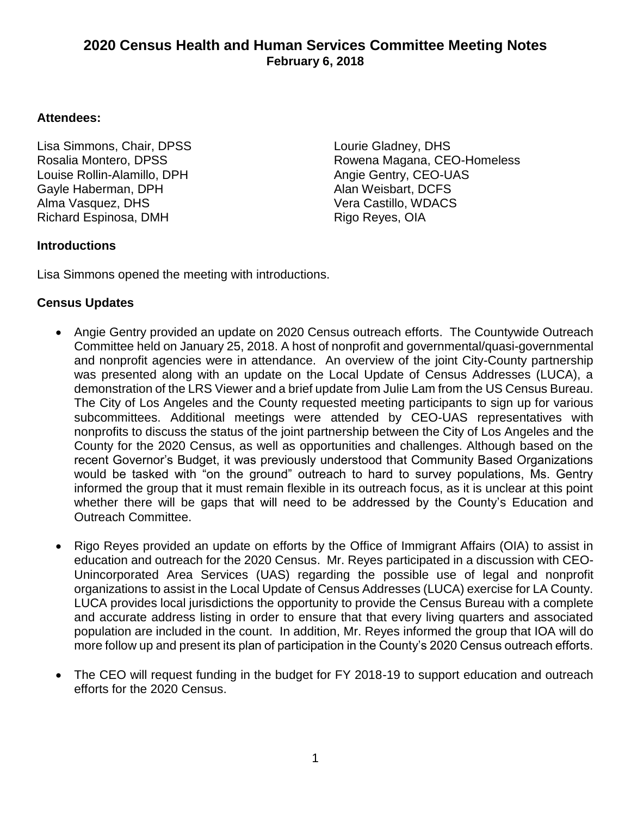# **2020 Census Health and Human Services Committee Meeting Notes February 6, 2018**

#### **Attendees:**

Lisa Simmons, Chair, DPSS Rosalia Montero, DPSS Louise Rollin-Alamillo, DPH Gayle Haberman, DPH Alan Weisbart, DCFS Alma Vasquez, DHS Vera Castillo, WDACS Richard Espinosa, DMH Rigo Reyes, OIA

Lourie Gladney, DHS Rowena Magana, CEO-Homeless Angie Gentry, CEO-UAS

### **Introductions**

Lisa Simmons opened the meeting with introductions.

### **Census Updates**

- Angie Gentry provided an update on 2020 Census outreach efforts. The Countywide Outreach Committee held on January 25, 2018. A host of nonprofit and governmental/quasi-governmental and nonprofit agencies were in attendance. An overview of the joint City-County partnership was presented along with an update on the Local Update of Census Addresses (LUCA), a demonstration of the LRS Viewer and a brief update from Julie Lam from the US Census Bureau. The City of Los Angeles and the County requested meeting participants to sign up for various subcommittees. Additional meetings were attended by CEO-UAS representatives with nonprofits to discuss the status of the joint partnership between the City of Los Angeles and the County for the 2020 Census, as well as opportunities and challenges. Although based on the recent Governor's Budget, it was previously understood that Community Based Organizations would be tasked with "on the ground" outreach to hard to survey populations, Ms. Gentry informed the group that it must remain flexible in its outreach focus, as it is unclear at this point whether there will be gaps that will need to be addressed by the County's Education and Outreach Committee.
- Rigo Reyes provided an update on efforts by the Office of Immigrant Affairs (OIA) to assist in education and outreach for the 2020 Census. Mr. Reyes participated in a discussion with CEO-Unincorporated Area Services (UAS) regarding the possible use of legal and nonprofit organizations to assist in the Local Update of Census Addresses (LUCA) exercise for LA County. LUCA provides local jurisdictions the opportunity to provide the Census Bureau with a complete and accurate address listing in order to ensure that that every living quarters and associated population are included in the count. In addition, Mr. Reyes informed the group that IOA will do more follow up and present its plan of participation in the County's 2020 Census outreach efforts.
- The CEO will request funding in the budget for FY 2018-19 to support education and outreach efforts for the 2020 Census.